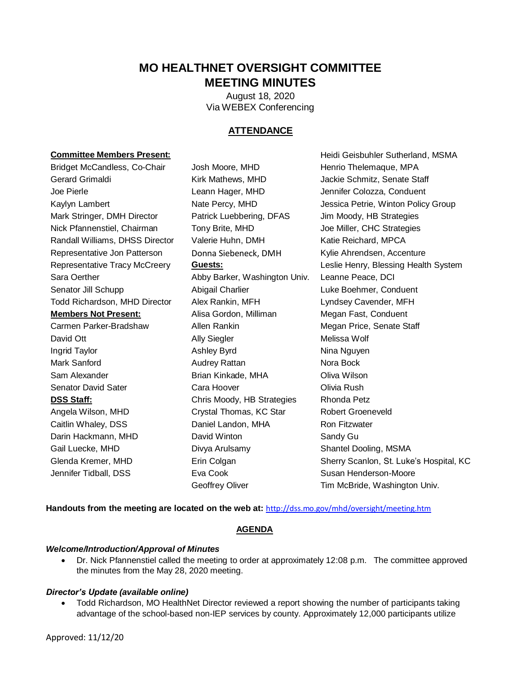# **MO HEALTHNET OVERSIGHT COMMITTEE MEETING MINUTES**

 Via WEBEX Conferencing August 18, 2020

# **ATTENDANCE**

#### **Committee Members Present:**

Gerard Grimaldi Kirk Mathews, MHD Jackie Schmitz, Senate Staff Mark Stringer, DMH Director Patrick Luebbering, DFAS Jim Moody, HB Strategies Randall Williams, DHSS Director Valerie Huhn, DMH Katie Reichard, MPCA Representative Jon Patterson Donna Siebeneck, DMH Kylie Ahrendsen, Accenture Representative Tracy McCreery Sara Oerther **Abby Barker, Washington Univ.** Leanne Peace, DCI Senator Jill Schupp Todd Richardson, MHD Director Alex Rankin, MFH Lyndsey Cavender, MFH **Members Not Present:** Carmen Parker-Bradshaw Allen Rankin Megan Price, Senate Staff Senator David Sater **Cara Hoover** Cara Hoover **Cara Hoover** Olivia Rush **DSS Staff:** The Strategies Rhonda Petz Chris Moody, HB Strategies Rhonda Petz Angela Wilson, MHD Bridget McCandless, Co-Chair Josh Moore, MHD Henrio Thelemaque, MPA Joe Pierle Leann Hager, MHD Jennifer Colozza, Conduent Nick Pfannenstiel, Chairman Tony Brite, MHD Joe Miller, CHC Strategies David Ott **Ally Siegler** Ally Siegler Melissa Wolf Ingrid Taylor **Ashley Byrd** Ashley Byrd **Nina Nguyen** Mark Sanford **Audrey Rattan** Audrey Rattan Nora Bock Sam Alexander Brian Kinkade, MHA Oliva Wilson

Gail Luecke, MHD Glenda Kremer, MHD Jennifer Tidball, DSS

Josh Moore, MHD Leann Hager, MHD Tony Brite, MHD Abigail Charlier **Luke Boehmer, Conduent** Alisa Gordon, Milliman Megan Fast, Conduent Crystal Thomas, KC Star Robert Groeneveld Caitlin Whaley, DSS **Daniel Landon, MHA** Ron Fitzwater Darin Hackmann, MHD David Winton Sandy Gu Divya Arulsamy Shantel Dooling, MSMA Eva Cook Susan Henderson-Moore

Kaylyn Lambert **Nate Percy, MHD** Jessica Petrie, Winton Policy Group Geoffrey Oliver **Tim McBride, Washington Univ.** Heidi Geisbuhler Sutherland, MSMA **Guests: Guests: CREEF ENRY, Blessing Health System** Erin Colgan Sherry Scanlon, St. Luke's Hospital, KC

 **Handouts from the meeting are located on the web at:** <http://dss.mo.gov/mhd/oversight/meeting.htm>

## **AGENDA**

## *Welcome/Introduction/Approval of Minutes*

 Dr. Nick Pfannenstiel called the meeting to order at approximately 12:08 p.m. The committee approved the minutes from the May 28, 2020 meeting.

## *Director's Update (available online)*

 Todd Richardson, MO HealthNet Director reviewed a report showing the number of participants taking advantage of the school-based non-IEP services by county. Approximately 12,000 participants utilize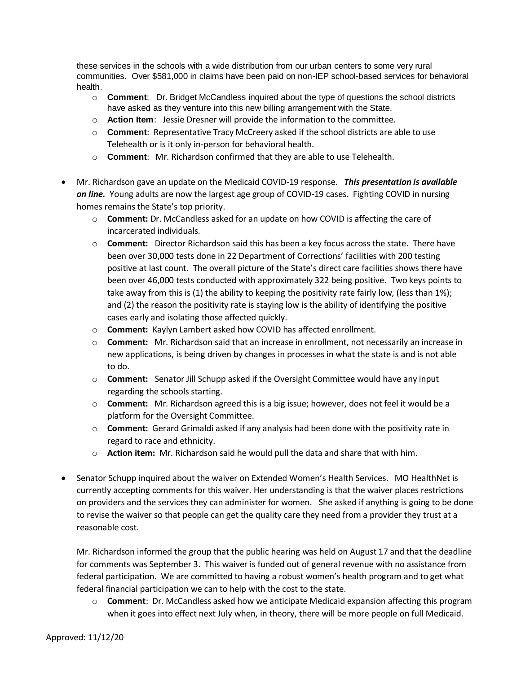these services in the schools with a wide distribution from our urban centers to some very rural communities. Over \$581,000 in claims have been paid on non-IEP school-based services for behavioral health.

- o **Comment**: Dr. Bridget McCandless inquired about the type of questions the school districts have asked as they venture into this new billing arrangement with the State.
- o **Action Item**: Jessie Dresner will provide the information to the committee.
- o **Comment**: Representative Tracy McCreery asked if the school districts are able to use Telehealth or is it only in-person for behavioral health.
- o **Comment**: Mr. Richardson confirmed that they are able to use Telehealth.
- Mr. Richardson gave an update on the Medicaid COVID-19 response. *This presentation is available on line.* Young adults are now the largest age group of COVID-19 cases. Fighting COVID in nursing homes remains the State's top priority.
	- o **Comment:** Dr. McCandless asked for an update on how COVID is affecting the care of incarcerated individuals.
	- o **Comment:** Director Richardson said this has been a key focus across the state. There have been over 46,000 tests conducted with approximately 322 being positive. Two keys points to been over 30,000 tests done in 22 Department of Corrections' facilities with 200 testing positive at last count. The overall picture of the State's direct care facilities shows there have take away from this is (1) the ability to keeping the positivity rate fairly low, (less than 1%); and (2) the reason the positivity rate is staying low is the ability of identifying the positive cases early and isolating those affected quickly.
	- o **Comment:** Kaylyn Lambert asked how COVID has affected enrollment.
	- o **Comment:** Mr. Richardson said that an increase in enrollment, not necessarily an increase in new applications, is being driven by changes in processes in what the state is and is not able to do.
	- o **Comment:** Senator Jill Schupp asked if the Oversight Committee would have any input regarding the schools starting.
	- o **Comment:** Mr. Richardson agreed this is a big issue; however, does not feel it would be a platform for the Oversight Committee.
	- o **Comment:** Gerard Grimaldi asked if any analysis had been done with the positivity rate in regard to race and ethnicity.
	- o **Action item:** Mr. Richardson said he would pull the data and share that with him.
- on providers and the services they can administer for women. She asked if anything is going to be done reasonable cost. • Senator Schupp inquired about the waiver on Extended Women's Health Services. MO HealthNet is currently accepting comments for this waiver. Her understanding is that the waiver places restrictions to revise the waiver so that people can get the quality care they need from a provider they trust at a

reasonable cost.<br>Mr. Richardson informed the group that the public hearing was held on August 17 and that the deadline for comments was September 3. This waiver is funded out of general revenue with no assistance from federal participation. We are committed to having a robust women's health program and to get what federal financial participation we can to help with the cost to the state.

 o **Comment**: Dr. McCandless asked how we anticipate Medicaid expansion affecting this program when it goes into effect next July when, in theory, there will be more people on full Medicaid.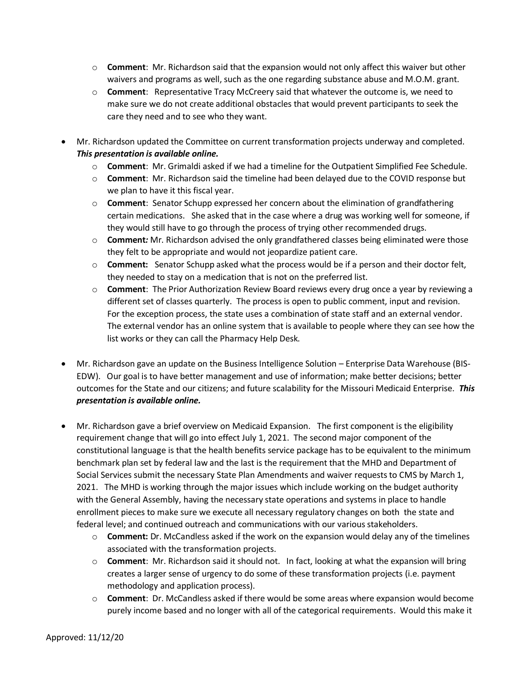- o **Comment**: Mr. Richardson said that the expansion would not only affect this waiver but other waivers and programs as well, such as the one regarding substance abuse and M.O.M. grant.
- o **Comment**: Representative Tracy McCreery said that whatever the outcome is, we need to make sure we do not create additional obstacles that would prevent participants to seek the care they need and to see who they want.
- Mr. Richardson updated the Committee on current transformation projects underway and completed.  *This presentation is available online.* 
	- o **Comment**: Mr. Grimaldi asked if we had a timeline for the Outpatient Simplified Fee Schedule.
	- o **Comment**: Mr. Richardson said the timeline had been delayed due to the COVID response but we plan to have it this fiscal year.
	- certain medications. She asked that in the case where a drug was working well for someone, if o **Comment**: Senator Schupp expressed her concern about the elimination of grandfathering they would still have to go through the process of trying other recommended drugs.
	- o **Comment***:* Mr. Richardson advised the only grandfathered classes being eliminated were those they felt to be appropriate and would not jeopardize patient care.
	- o **Comment:** Senator Schupp asked what the process would be if a person and their doctor felt, they needed to stay on a medication that is not on the preferred list.
	- o **Comment**: The Prior Authorization Review Board reviews every drug once a year by reviewing a different set of classes quarterly. The process is open to public comment, input and revision. For the exception process, the state uses a combination of state staff and an external vendor. The external vendor has an online system that is available to people where they can see how the list works or they can call the Pharmacy Help Desk.
- Mr. Richardson gave an update on the Business Intelligence Solution Enterprise Data Warehouse (BIS- EDW). Our goal is to have better management and use of information; make better decisions; better outcomes for the State and our citizens; and future scalability for the Missouri Medicaid Enterprise. *This presentation is available online.*
- Mr. Richardson gave a brief overview on Medicaid Expansion. The first component is the eligibility requirement change that will go into effect July 1, 2021. The second major component of the Social Services submit the necessary State Plan Amendments and waiver requests to CMS by March 1, constitutional language is that the health benefits service package has to be equivalent to the minimum benchmark plan set by federal law and the last is the requirement that the MHD and Department of 2021. The MHD is working through the major issues which include working on the budget authority with the General Assembly, having the necessary state operations and systems in place to handle enrollment pieces to make sure we execute all necessary regulatory changes on both the state and federal level; and continued outreach and communications with our various stakeholders.
	- o **Comment:** Dr. McCandless asked if the work on the expansion would delay any of the timelines associated with the transformation projects.
	- o **Comment**: Mr. Richardson said it should not. In fact, looking at what the expansion will bring creates a larger sense of urgency to do some of these transformation projects (i.e. payment methodology and application process).
	- o **Comment**: Dr. McCandless asked if there would be some areas where expansion would become purely income based and no longer with all of the categorical requirements. Would this make it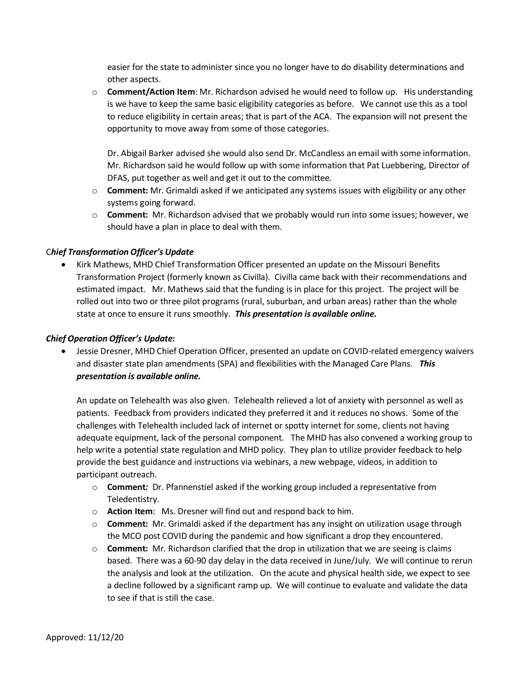easier for the state to administer since you no longer have to do disability determinations and other aspects.

 is we have to keep the same basic eligibility categories as before. We cannot use this as a tool opportunity to move away from some of those categories. o **Comment/Action Item**: Mr. Richardson advised he would need to follow up. His understanding to reduce eligibility in certain areas; that is part of the ACA. The expansion will not present the

opportunity to move away from some of those categories.<br>Dr. Abigail Barker advised she would also send Dr. McCandless an email with some information.<br>Mr. Richardson said he would follow up with some information that Pat Lu DFAS, put together as well and get it out to the committee.

- o **Comment:** Mr. Grimaldi asked if we anticipated any systems issues with eligibility or any other systems going forward.
- o **Comment:** Mr. Richardson advised that we probably would run into some issues; however, we should have a plan in place to deal with them.

# C*hief Transformation Officer's Update*

 Kirk Mathews, MHD Chief Transformation Officer presented an update on the Missouri Benefits Transformation Project (formerly known as Civilla). Civilla came back with their recommendations and estimated impact. Mr. Mathews said that the funding is in place for this project. The project will be state at once to ensure it runs smoothly. *This presentation is available online.*  rolled out into two or three pilot programs (rural, suburban, and urban areas) rather than the whole

## *Chief Operation Officer's Update:*

 and disaster state plan amendments (SPA) and flexibilities with the Managed Care Plans. *This presentation is available online.*  Jessie Dresner, MHD Chief Operation Officer, presented an update on COVID-related emergency waivers

 patients. Feedback from providers indicated they preferred it and it reduces no shows. Some of the adequate equipment, lack of the personal component. The MHD has also convened a working group to An update on Telehealth was also given. Telehealth relieved a lot of anxiety with personnel as well as challenges with Telehealth included lack of internet or spotty internet for some, clients not having help write a potential state regulation and MHD policy. They plan to utilize provider feedback to help provide the best guidance and instructions via webinars, a new webpage, videos, in addition to participant outreach.

- o **Comment***:* Dr. Pfannenstiel asked if the working group included a representative from Teledentistry.
- o **Action Item**: Ms. Dresner will find out and respond back to him.
- o **Comment:** Mr. Grimaldi asked if the department has any insight on utilization usage through the MCO post COVID during the pandemic and how significant a drop they encountered.
- based. There was a 60-90 day delay in the data received in June/July. We will continue to rerun the analysis and look at the utilization. On the acute and physical health side, we expect to see a decline followed by a significant ramp up. We will continue to evaluate and validate the data o **Comment:** Mr. Richardson clarified that the drop in utilization that we are seeing is claims to see if that is still the case.